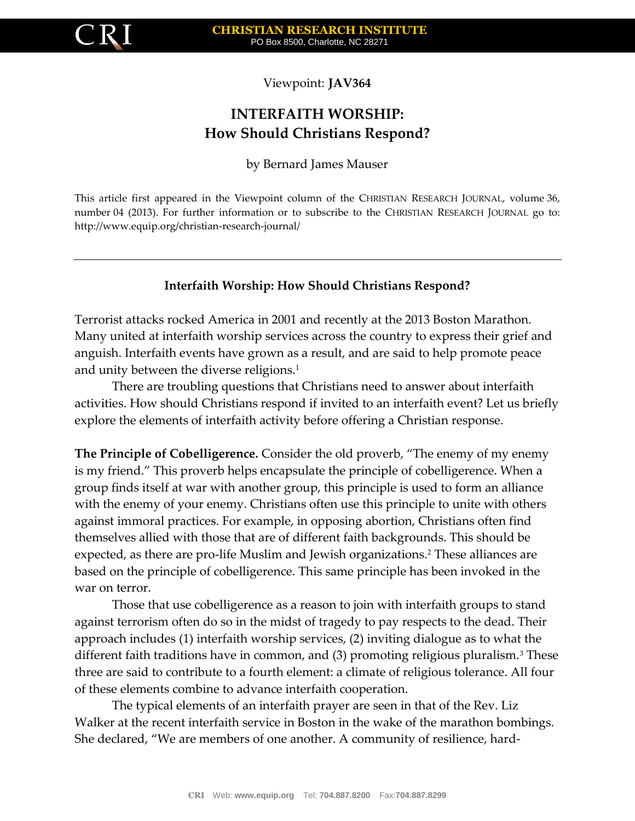

Viewpoint: **JAV364**

## **INTERFAITH WORSHIP: How Should Christians Respond?**

by Bernard James Mauser

This article first appeared in the Viewpoint column of the CHRISTIAN RESEARCH JOURNAL, volume 36, number 04 (2013). For further information or to subscribe to the CHRISTIAN RESEARCH JOURNAL go to: http://www.equip.org/christian-research-journal/

## **Interfaith Worship: How Should Christians Respond?**

Terrorist attacks rocked America in 2001 and recently at the 2013 Boston Marathon. Many united at interfaith worship services across the country to express their grief and anguish. Interfaith events have grown as a result, and are said to help promote peace and unity between the diverse religions.<sup>1</sup>

There are troubling questions that Christians need to answer about interfaith activities. How should Christians respond if invited to an interfaith event? Let us briefly explore the elements of interfaith activity before offering a Christian response.

**The Principle of Cobelligerence.** Consider the old proverb, "The enemy of my enemy is my friend." This proverb helps encapsulate the principle of cobelligerence. When a group finds itself at war with another group, this principle is used to form an alliance with the enemy of your enemy. Christians often use this principle to unite with others against immoral practices. For example, in opposing abortion, Christians often find themselves allied with those that are of different faith backgrounds. This should be expected, as there are pro-life Muslim and Jewish organizations.<sup>2</sup> These alliances are based on the principle of cobelligerence. This same principle has been invoked in the war on terror.

Those that use cobelligerence as a reason to join with interfaith groups to stand against terrorism often do so in the midst of tragedy to pay respects to the dead. Their approach includes (1) interfaith worship services, (2) inviting dialogue as to what the different faith traditions have in common, and  $(3)$  promoting religious pluralism.<sup>3</sup> These three are said to contribute to a fourth element: a climate of religious tolerance. All four of these elements combine to advance interfaith cooperation.

The typical elements of an interfaith prayer are seen in that of the Rev. Liz Walker at the recent interfaith service in Boston in the wake of the marathon bombings. She declared, "We are members of one another. A community of resilience, hard-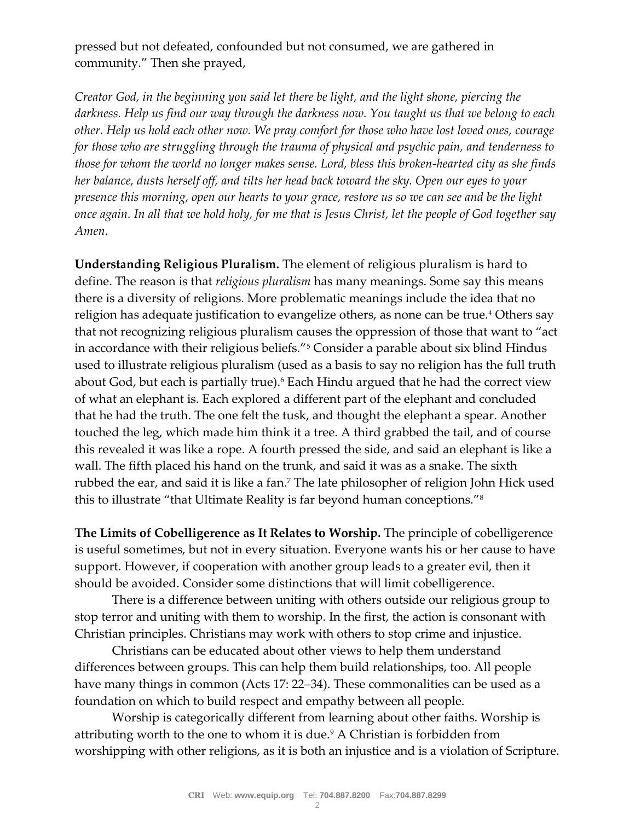pressed but not defeated, confounded but not consumed, we are gathered in community." Then she prayed,

*Creator God, in the beginning you said let there be light, and the light shone, piercing the darkness. Help us find our way through the darkness now. You taught us that we belong to each other. Help us hold each other now. We pray comfort for those who have lost loved ones, courage for those who are struggling through the trauma of physical and psychic pain, and tenderness to those for whom the world no longer makes sense. Lord, bless this broken-hearted city as she finds her balance, dusts herself off, and tilts her head back toward the sky. Open our eyes to your presence this morning, open our hearts to your grace, restore us so we can see and be the light once again. In all that we hold holy, for me that is Jesus Christ, let the people of God together say Amen.*

**Understanding Religious Pluralism.** The element of religious pluralism is hard to define. The reason is that *religious pluralism* has many meanings. Some say this means there is a diversity of religions. More problematic meanings include the idea that no religion has adequate justification to evangelize others, as none can be true.<sup>4</sup> Others say that not recognizing religious pluralism causes the oppression of those that want to "act in accordance with their religious beliefs."<sup>5</sup> Consider a parable about six blind Hindus used to illustrate religious pluralism (used as a basis to say no religion has the full truth about God, but each is partially true).<sup>6</sup> Each Hindu argued that he had the correct view of what an elephant is. Each explored a different part of the elephant and concluded that he had the truth. The one felt the tusk, and thought the elephant a spear. Another touched the leg, which made him think it a tree. A third grabbed the tail, and of course this revealed it was like a rope. A fourth pressed the side, and said an elephant is like a wall. The fifth placed his hand on the trunk, and said it was as a snake. The sixth rubbed the ear, and said it is like a fan.<sup>7</sup> The late philosopher of religion John Hick used this to illustrate "that Ultimate Reality is far beyond human conceptions."<sup>8</sup>

**The Limits of Cobelligerence as It Relates to Worship.** The principle of cobelligerence is useful sometimes, but not in every situation. Everyone wants his or her cause to have support. However, if cooperation with another group leads to a greater evil, then it should be avoided. Consider some distinctions that will limit cobelligerence.

There is a difference between uniting with others outside our religious group to stop terror and uniting with them to worship. In the first, the action is consonant with Christian principles. Christians may work with others to stop crime and injustice.

Christians can be educated about other views to help them understand differences between groups. This can help them build relationships, too. All people have many things in common (Acts 17: 22–34). These commonalities can be used as a foundation on which to build respect and empathy between all people.

Worship is categorically different from learning about other faiths. Worship is attributing worth to the one to whom it is due.<sup>9</sup> A Christian is forbidden from worshipping with other religions, as it is both an injustice and is a violation of Scripture.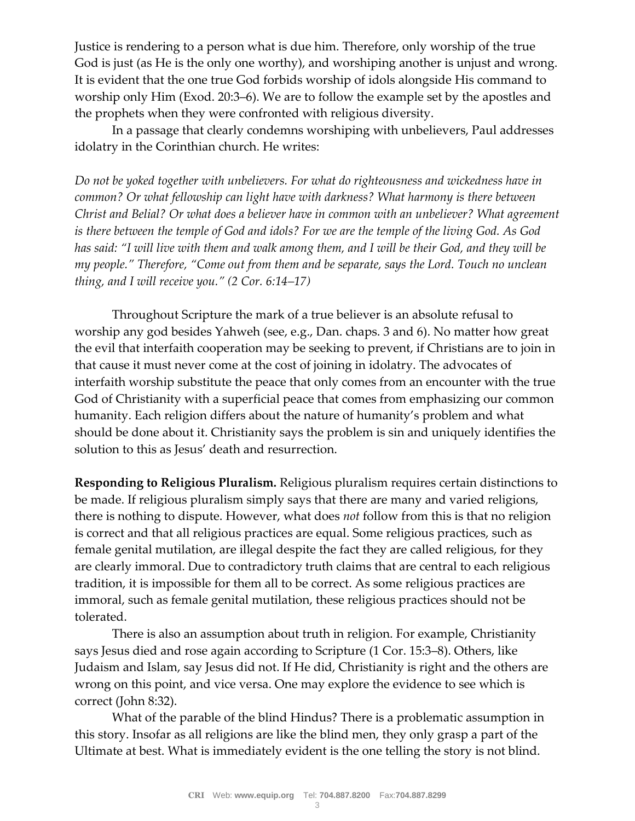Justice is rendering to a person what is due him. Therefore, only worship of the true God is just (as He is the only one worthy), and worshiping another is unjust and wrong. It is evident that the one true God forbids worship of idols alongside His command to worship only Him (Exod. 20:3–6). We are to follow the example set by the apostles and the prophets when they were confronted with religious diversity.

In a passage that clearly condemns worshiping with unbelievers, Paul addresses idolatry in the Corinthian church. He writes:

*Do not be yoked together with unbelievers. For what do righteousness and wickedness have in common? Or what fellowship can light have with darkness? What harmony is there between Christ and Belial? Or what does a believer have in common with an unbeliever? What agreement is there between the temple of God and idols? For we are the temple of the living God. As God has said: "I will live with them and walk among them, and I will be their God, and they will be my people." Therefore, "Come out from them and be separate, says the Lord. Touch no unclean thing, and I will receive you." (2 Cor. 6:14–17)* 

Throughout Scripture the mark of a true believer is an absolute refusal to worship any god besides Yahweh (see, e.g., Dan. chaps. 3 and 6). No matter how great the evil that interfaith cooperation may be seeking to prevent, if Christians are to join in that cause it must never come at the cost of joining in idolatry. The advocates of interfaith worship substitute the peace that only comes from an encounter with the true God of Christianity with a superficial peace that comes from emphasizing our common humanity. Each religion differs about the nature of humanity's problem and what should be done about it. Christianity says the problem is sin and uniquely identifies the solution to this as Jesus' death and resurrection.

**Responding to Religious Pluralism.** Religious pluralism requires certain distinctions to be made. If religious pluralism simply says that there are many and varied religions, there is nothing to dispute. However, what does *not* follow from this is that no religion is correct and that all religious practices are equal. Some religious practices, such as female genital mutilation, are illegal despite the fact they are called religious, for they are clearly immoral. Due to contradictory truth claims that are central to each religious tradition, it is impossible for them all to be correct. As some religious practices are immoral, such as female genital mutilation, these religious practices should not be tolerated.

There is also an assumption about truth in religion. For example, Christianity says Jesus died and rose again according to Scripture (1 Cor. 15:3–8). Others, like Judaism and Islam, say Jesus did not. If He did, Christianity is right and the others are wrong on this point, and vice versa. One may explore the evidence to see which is correct (John 8:32).

What of the parable of the blind Hindus? There is a problematic assumption in this story. Insofar as all religions are like the blind men, they only grasp a part of the Ultimate at best. What is immediately evident is the one telling the story is not blind.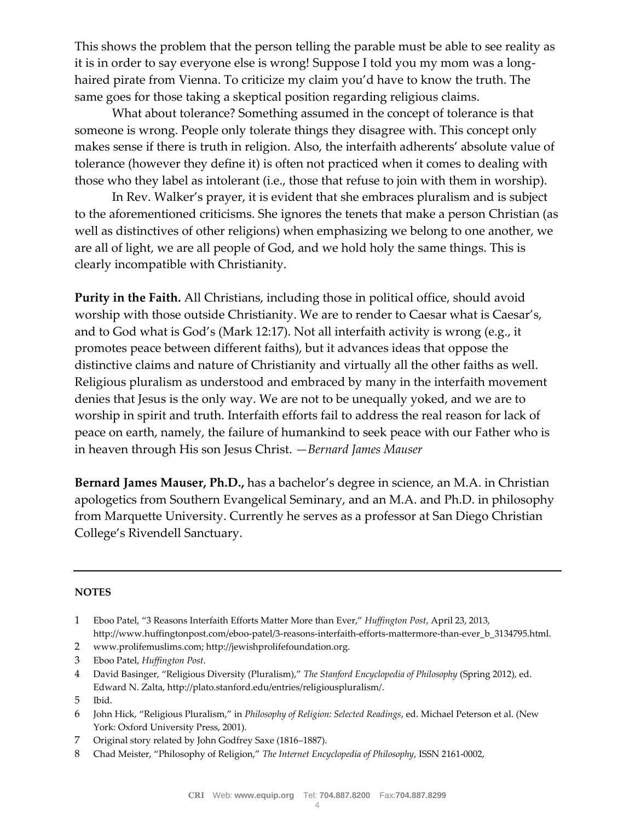This shows the problem that the person telling the parable must be able to see reality as it is in order to say everyone else is wrong! Suppose I told you my mom was a longhaired pirate from Vienna. To criticize my claim you'd have to know the truth. The same goes for those taking a skeptical position regarding religious claims.

What about tolerance? Something assumed in the concept of tolerance is that someone is wrong. People only tolerate things they disagree with. This concept only makes sense if there is truth in religion. Also, the interfaith adherents' absolute value of tolerance (however they define it) is often not practiced when it comes to dealing with those who they label as intolerant (i.e., those that refuse to join with them in worship).

In Rev. Walker's prayer, it is evident that she embraces pluralism and is subject to the aforementioned criticisms. She ignores the tenets that make a person Christian (as well as distinctives of other religions) when emphasizing we belong to one another, we are all of light, we are all people of God, and we hold holy the same things. This is clearly incompatible with Christianity.

**Purity in the Faith.** All Christians, including those in political office, should avoid worship with those outside Christianity. We are to render to Caesar what is Caesar's, and to God what is God's (Mark 12:17). Not all interfaith activity is wrong (e.g., it promotes peace between different faiths), but it advances ideas that oppose the distinctive claims and nature of Christianity and virtually all the other faiths as well. Religious pluralism as understood and embraced by many in the interfaith movement denies that Jesus is the only way. We are not to be unequally yoked, and we are to worship in spirit and truth. Interfaith efforts fail to address the real reason for lack of peace on earth, namely, the failure of humankind to seek peace with our Father who is in heaven through His son Jesus Christ. *—Bernard James Mauser*

**Bernard James Mauser, Ph.D.,** has a bachelor's degree in science, an M.A. in Christian apologetics from Southern Evangelical Seminary, and an M.A. and Ph.D. in philosophy from Marquette University. Currently he serves as a professor at San Diego Christian College's Rivendell Sanctuary.

## **NOTES**

- 1 Eboo Patel, "3 Reasons Interfaith Efforts Matter More than Ever," *Huffington Post*, April 23, 2013, http://www.huffingtonpost.com/eboo-patel/3-reasons-interfaith-efforts-mattermore-than-ever\_b\_3134795.html.
- 2 www.prolifemuslims.com; http://jewishprolifefoundation.org.
- 3 Eboo Patel, *Huffington Post*.
- 4 David Basinger, "Religious Diversity (Pluralism)," *The Stanford Encyclopedia of Philosophy* (Spring 2012), ed. Edward N. Zalta, http://plato.stanford.edu/entries/religiouspluralism/.

- 6 John Hick, "Religious Pluralism," in *Philosophy of Religion: Selected Readings*, ed. Michael Peterson et al. (New York: Oxford University Press, 2001).
- 7 Original story related by John Godfrey Saxe (1816–1887).
- 8 Chad Meister, "Philosophy of Religion," *The Internet Encyclopedia of Philosophy*, ISSN 2161-0002,

<sup>5</sup> Ibid.